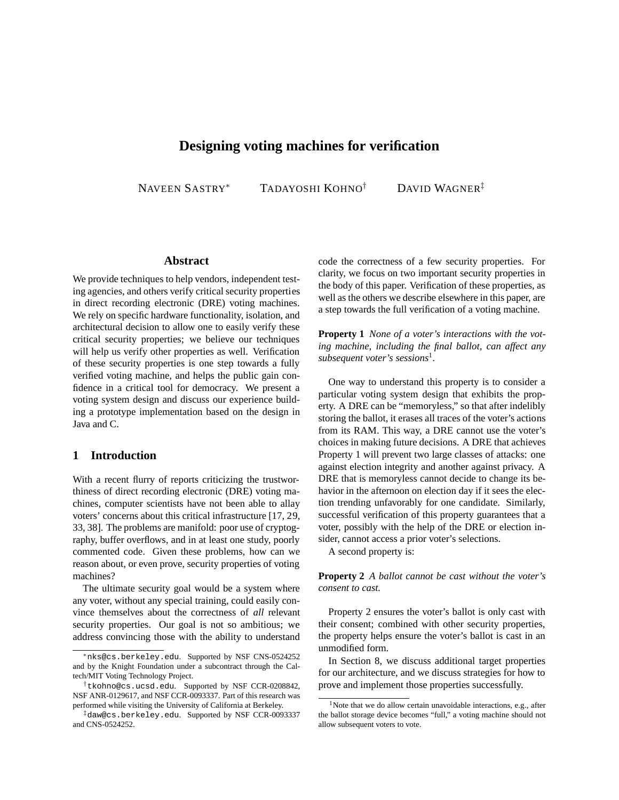# **Designing voting machines for verification**

NAVEEN SASTRY<sup>\*</sup> TADAYOSHI KOHNO<sup>†</sup> DAVID WAGNER<sup>‡</sup>

### **Abstract**

We provide techniques to help vendors, independent testing agencies, and others verify critical security properties in direct recording electronic (DRE) voting machines. We rely on specific hardware functionality, isolation, and architectural decision to allow one to easily verify these critical security properties; we believe our techniques will help us verify other properties as well. Verification of these security properties is one step towards a fully verified voting machine, and helps the public gain confidence in a critical tool for democracy. We present a voting system design and discuss our experience building a prototype implementation based on the design in Java and C.

### **1 Introduction**

With a recent flurry of reports criticizing the trustworthiness of direct recording electronic (DRE) voting machines, computer scientists have not been able to allay voters' concerns about this critical infrastructure [17, 29, 33, 38]. The problems are manifold: poor use of cryptography, buffer overflows, and in at least one study, poorly commented code. Given these problems, how can we reason about, or even prove, security properties of voting machines?

The ultimate security goal would be a system where any voter, without any special training, could easily convince themselves about the correctness of *all* relevant security properties. Our goal is not so ambitious; we address convincing those with the ability to understand

code the correctness of a few security properties. For clarity, we focus on two important security properties in the body of this paper. Verification of these properties, as well as the others we describe elsewhere in this paper, are a step towards the full verification of a voting machine.

**Property 1** *None of a voter's interactions with the voting machine, including the final ballot, can affect any subsequent voter's sessions*<sup>1</sup> *.*

One way to understand this property is to consider a particular voting system design that exhibits the property. A DRE can be "memoryless," so that after indelibly storing the ballot, it erases all traces of the voter's actions from its RAM. This way, a DRE cannot use the voter's choices in making future decisions. A DRE that achieves Property 1 will prevent two large classes of attacks: one against election integrity and another against privacy. A DRE that is memoryless cannot decide to change its behavior in the afternoon on election day if it sees the election trending unfavorably for one candidate. Similarly, successful verification of this property guarantees that a voter, possibly with the help of the DRE or election insider, cannot access a prior voter's selections.

A second property is:

**Property 2** *A ballot cannot be cast without the voter's consent to cast.*

Property 2 ensures the voter's ballot is only cast with their consent; combined with other security properties, the property helps ensure the voter's ballot is cast in an unmodified form.

In Section 8, we discuss additional target properties for our architecture, and we discuss strategies for how to prove and implement those properties successfully.

<sup>∗</sup>nks@cs.berkeley.edu. Supported by NSF CNS-0524252 and by the Knight Foundation under a subcontract through the Caltech/MIT Voting Technology Project.

<sup>†</sup>tkohno@cs.ucsd.edu. Supported by NSF CCR-0208842, NSF ANR-0129617, and NSF CCR-0093337. Part of this research was performed while visiting the University of California at Berkeley.

<sup>‡</sup>daw@cs.berkeley.edu. Supported by NSF CCR-0093337 and CNS-0524252.

 $1$ Note that we do allow certain unavoidable interactions, e.g., after the ballot storage device becomes "full," a voting machine should not allow subsequent voters to vote.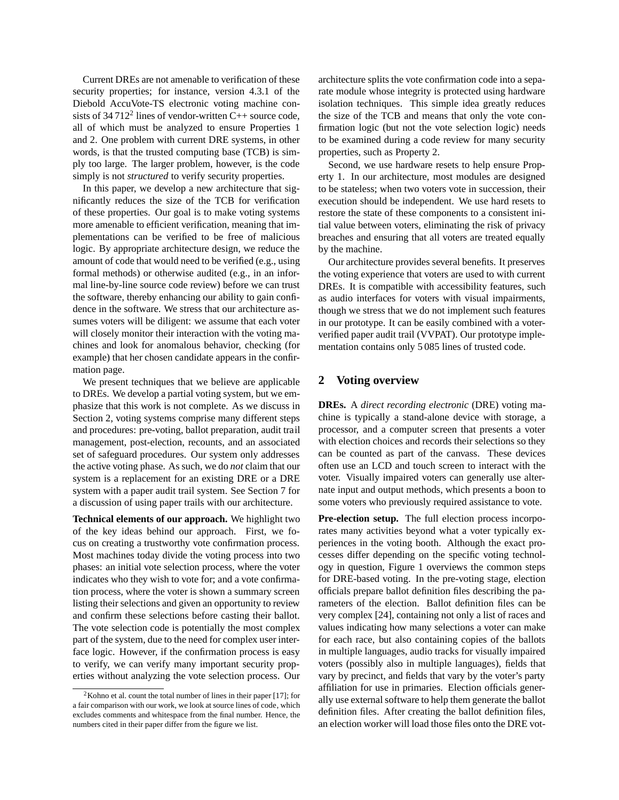Current DREs are not amenable to verification of these security properties; for instance, version 4.3.1 of the Diebold AccuVote-TS electronic voting machine consists of  $34712^2$  lines of vendor-written C++ source code, all of which must be analyzed to ensure Properties 1 and 2. One problem with current DRE systems, in other words, is that the trusted computing base (TCB) is simply too large. The larger problem, however, is the code simply is not *structured* to verify security properties.

In this paper, we develop a new architecture that significantly reduces the size of the TCB for verification of these properties. Our goal is to make voting systems more amenable to efficient verification, meaning that implementations can be verified to be free of malicious logic. By appropriate architecture design, we reduce the amount of code that would need to be verified (e.g., using formal methods) or otherwise audited (e.g., in an informal line-by-line source code review) before we can trust the software, thereby enhancing our ability to gain confidence in the software. We stress that our architecture assumes voters will be diligent: we assume that each voter will closely monitor their interaction with the voting machines and look for anomalous behavior, checking (for example) that her chosen candidate appears in the confirmation page.

We present techniques that we believe are applicable to DREs. We develop a partial voting system, but we emphasize that this work is not complete. As we discuss in Section 2, voting systems comprise many different steps and procedures: pre-voting, ballot preparation, audit trail management, post-election, recounts, and an associated set of safeguard procedures. Our system only addresses the active voting phase. As such, we do *not* claim that our system is a replacement for an existing DRE or a DRE system with a paper audit trail system. See Section 7 for a discussion of using paper trails with our architecture.

**Technical elements of our approach.** We highlight two of the key ideas behind our approach. First, we focus on creating a trustworthy vote confirmation process. Most machines today divide the voting process into two phases: an initial vote selection process, where the voter indicates who they wish to vote for; and a vote confirmation process, where the voter is shown a summary screen listing their selections and given an opportunity to review and confirm these selections before casting their ballot. The vote selection code is potentially the most complex part of the system, due to the need for complex user interface logic. However, if the confirmation process is easy to verify, we can verify many important security properties without analyzing the vote selection process. Our architecture splits the vote confirmation code into a separate module whose integrity is protected using hardware isolation techniques. This simple idea greatly reduces the size of the TCB and means that only the vote confirmation logic (but not the vote selection logic) needs to be examined during a code review for many security properties, such as Property 2.

Second, we use hardware resets to help ensure Property 1. In our architecture, most modules are designed to be stateless; when two voters vote in succession, their execution should be independent. We use hard resets to restore the state of these components to a consistent initial value between voters, eliminating the risk of privacy breaches and ensuring that all voters are treated equally by the machine.

Our architecture provides several benefits. It preserves the voting experience that voters are used to with current DREs. It is compatible with accessibility features, such as audio interfaces for voters with visual impairments, though we stress that we do not implement such features in our prototype. It can be easily combined with a voterverified paper audit trail (VVPAT). Our prototype implementation contains only 5 085 lines of trusted code.

#### **2 Voting overview**

**DREs.** A *direct recording electronic* (DRE) voting machine is typically a stand-alone device with storage, a processor, and a computer screen that presents a voter with election choices and records their selections so they can be counted as part of the canvass. These devices often use an LCD and touch screen to interact with the voter. Visually impaired voters can generally use alternate input and output methods, which presents a boon to some voters who previously required assistance to vote.

**Pre-election setup.** The full election process incorporates many activities beyond what a voter typically experiences in the voting booth. Although the exact processes differ depending on the specific voting technology in question, Figure 1 overviews the common steps for DRE-based voting. In the pre-voting stage, election officials prepare ballot definition files describing the parameters of the election. Ballot definition files can be very complex [24], containing not only a list of races and values indicating how many selections a voter can make for each race, but also containing copies of the ballots in multiple languages, audio tracks for visually impaired voters (possibly also in multiple languages), fields that vary by precinct, and fields that vary by the voter's party affiliation for use in primaries. Election officials generally use external software to help them generate the ballot definition files. After creating the ballot definition files, an election worker will load those files onto the DRE vot-

 $2$ Kohno et al. count the total number of lines in their paper [17]; for a fair comparison with our work, we look at source lines of code, which excludes comments and whitespace from the final number. Hence, the numbers cited in their paper differ from the figure we list.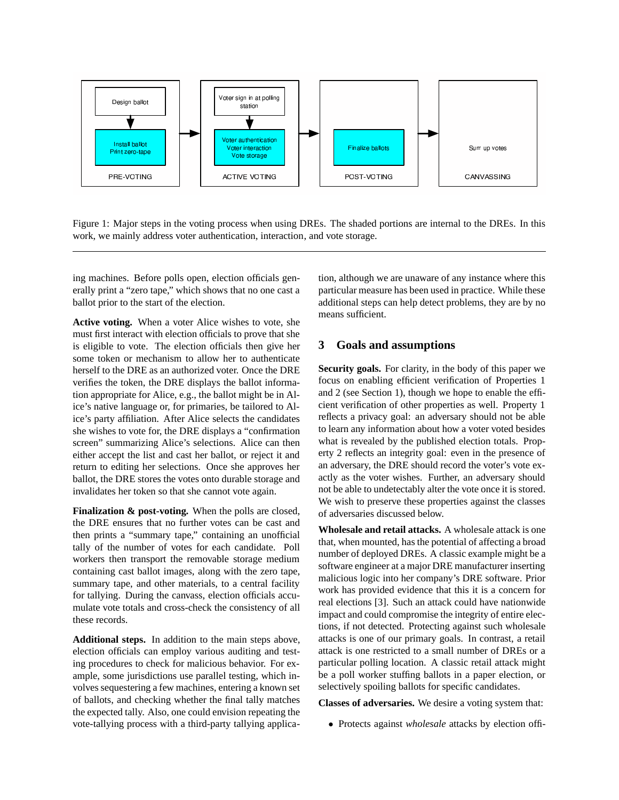

Figure 1: Major steps in the voting process when using DREs. The shaded portions are internal to the DREs. In this work, we mainly address voter authentication, interaction, and vote storage.

ing machines. Before polls open, election officials generally print a "zero tape," which shows that no one cast a ballot prior to the start of the election.

**Active voting.** When a voter Alice wishes to vote, she must first interact with election officials to prove that she is eligible to vote. The election officials then give her some token or mechanism to allow her to authenticate herself to the DRE as an authorized voter. Once the DRE verifies the token, the DRE displays the ballot information appropriate for Alice, e.g., the ballot might be in Alice's native language or, for primaries, be tailored to Alice's party affiliation. After Alice selects the candidates she wishes to vote for, the DRE displays a "confirmation screen" summarizing Alice's selections. Alice can then either accept the list and cast her ballot, or reject it and return to editing her selections. Once she approves her ballot, the DRE stores the votes onto durable storage and invalidates her token so that she cannot vote again.

**Finalization & post-voting.** When the polls are closed, the DRE ensures that no further votes can be cast and then prints a "summary tape," containing an unofficial tally of the number of votes for each candidate. Poll workers then transport the removable storage medium containing cast ballot images, along with the zero tape, summary tape, and other materials, to a central facility for tallying. During the canvass, election officials accumulate vote totals and cross-check the consistency of all these records.

**Additional steps.** In addition to the main steps above, election officials can employ various auditing and testing procedures to check for malicious behavior. For example, some jurisdictions use parallel testing, which involves sequestering a few machines, entering a known set of ballots, and checking whether the final tally matches the expected tally. Also, one could envision repeating the vote-tallying process with a third-party tallying application, although we are unaware of any instance where this particular measure has been used in practice. While these additional steps can help detect problems, they are by no means sufficient.

### **3 Goals and assumptions**

**Security goals.** For clarity, in the body of this paper we focus on enabling efficient verification of Properties 1 and 2 (see Section 1), though we hope to enable the efficient verification of other properties as well. Property 1 reflects a privacy goal: an adversary should not be able to learn any information about how a voter voted besides what is revealed by the published election totals. Property 2 reflects an integrity goal: even in the presence of an adversary, the DRE should record the voter's vote exactly as the voter wishes. Further, an adversary should not be able to undetectably alter the vote once it is stored. We wish to preserve these properties against the classes of adversaries discussed below.

**Wholesale and retail attacks.** A wholesale attack is one that, when mounted, has the potential of affecting a broad number of deployed DREs. A classic example might be a software engineer at a major DRE manufacturer inserting malicious logic into her company's DRE software. Prior work has provided evidence that this it is a concern for real elections [3]. Such an attack could have nationwide impact and could compromise the integrity of entire elections, if not detected. Protecting against such wholesale attacks is one of our primary goals. In contrast, a retail attack is one restricted to a small number of DREs or a particular polling location. A classic retail attack might be a poll worker stuffing ballots in a paper election, or selectively spoiling ballots for specific candidates.

**Classes of adversaries.** We desire a voting system that:

• Protects against *wholesale* attacks by election offi-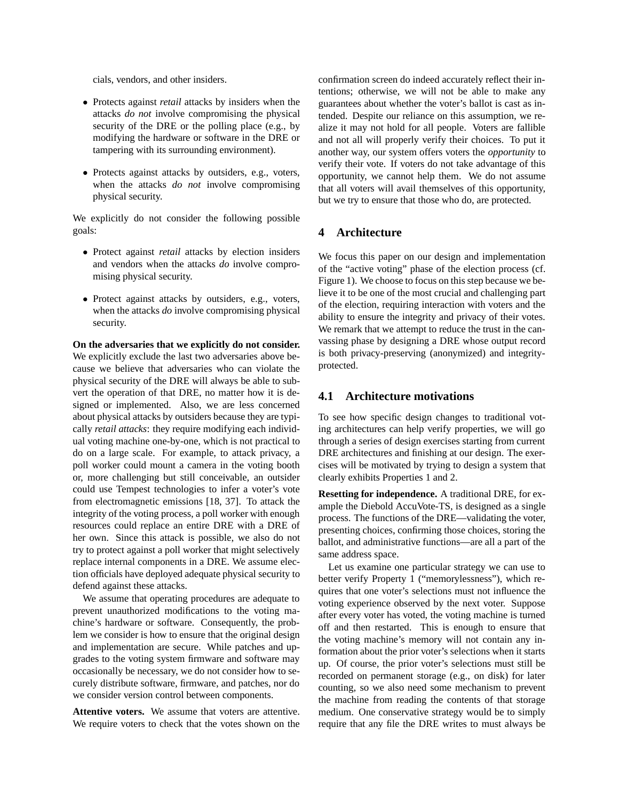cials, vendors, and other insiders.

- Protects against *retail* attacks by insiders when the attacks *do not* involve compromising the physical security of the DRE or the polling place (e.g., by modifying the hardware or software in the DRE or tampering with its surrounding environment).
- Protects against attacks by outsiders, e.g., voters, when the attacks *do not* involve compromising physical security.

We explicitly do not consider the following possible goals:

- Protect against *retail* attacks by election insiders and vendors when the attacks *do* involve compromising physical security.
- Protect against attacks by outsiders, e.g., voters, when the attacks *do* involve compromising physical security.

**On the adversaries that we explicitly do not consider.** We explicitly exclude the last two adversaries above because we believe that adversaries who can violate the physical security of the DRE will always be able to subvert the operation of that DRE, no matter how it is designed or implemented. Also, we are less concerned about physical attacks by outsiders because they are typically *retail attacks*: they require modifying each individual voting machine one-by-one, which is not practical to do on a large scale. For example, to attack privacy, a poll worker could mount a camera in the voting booth or, more challenging but still conceivable, an outsider could use Tempest technologies to infer a voter's vote from electromagnetic emissions [18, 37]. To attack the integrity of the voting process, a poll worker with enough resources could replace an entire DRE with a DRE of her own. Since this attack is possible, we also do not try to protect against a poll worker that might selectively replace internal components in a DRE. We assume election officials have deployed adequate physical security to defend against these attacks.

We assume that operating procedures are adequate to prevent unauthorized modifications to the voting machine's hardware or software. Consequently, the problem we consider is how to ensure that the original design and implementation are secure. While patches and upgrades to the voting system firmware and software may occasionally be necessary, we do not consider how to securely distribute software, firmware, and patches, nor do we consider version control between components.

**Attentive voters.** We assume that voters are attentive. We require voters to check that the votes shown on the confirmation screen do indeed accurately reflect their intentions; otherwise, we will not be able to make any guarantees about whether the voter's ballot is cast as intended. Despite our reliance on this assumption, we realize it may not hold for all people. Voters are fallible and not all will properly verify their choices. To put it another way, our system offers voters the *opportunity* to verify their vote. If voters do not take advantage of this opportunity, we cannot help them. We do not assume that all voters will avail themselves of this opportunity, but we try to ensure that those who do, are protected.

### **4 Architecture**

We focus this paper on our design and implementation of the "active voting" phase of the election process (cf. Figure 1). We choose to focus on this step because we believe it to be one of the most crucial and challenging part of the election, requiring interaction with voters and the ability to ensure the integrity and privacy of their votes. We remark that we attempt to reduce the trust in the canvassing phase by designing a DRE whose output record is both privacy-preserving (anonymized) and integrityprotected.

### **4.1 Architecture motivations**

To see how specific design changes to traditional voting architectures can help verify properties, we will go through a series of design exercises starting from current DRE architectures and finishing at our design. The exercises will be motivated by trying to design a system that clearly exhibits Properties 1 and 2.

**Resetting for independence.** A traditional DRE, for example the Diebold AccuVote-TS, is designed as a single process. The functions of the DRE—validating the voter, presenting choices, confirming those choices, storing the ballot, and administrative functions—are all a part of the same address space.

Let us examine one particular strategy we can use to better verify Property 1 ("memorylessness"), which requires that one voter's selections must not influence the voting experience observed by the next voter. Suppose after every voter has voted, the voting machine is turned off and then restarted. This is enough to ensure that the voting machine's memory will not contain any information about the prior voter's selections when it starts up. Of course, the prior voter's selections must still be recorded on permanent storage (e.g., on disk) for later counting, so we also need some mechanism to prevent the machine from reading the contents of that storage medium. One conservative strategy would be to simply require that any file the DRE writes to must always be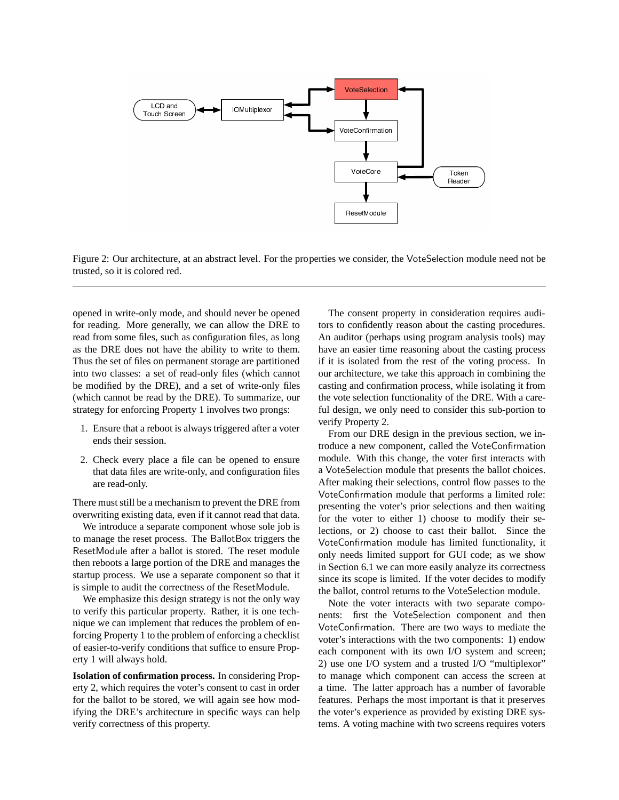

Figure 2: Our architecture, at an abstract level. For the properties we consider, the VoteSelection module need not be trusted, so it is colored red.

opened in write-only mode, and should never be opened for reading. More generally, we can allow the DRE to read from some files, such as configuration files, as long as the DRE does not have the ability to write to them. Thus the set of files on permanent storage are partitioned into two classes: a set of read-only files (which cannot be modified by the DRE), and a set of write-only files (which cannot be read by the DRE). To summarize, our strategy for enforcing Property 1 involves two prongs:

- 1. Ensure that a reboot is always triggered after a voter ends their session.
- 2. Check every place a file can be opened to ensure that data files are write-only, and configuration files are read-only.

There must still be a mechanism to prevent the DRE from overwriting existing data, even if it cannot read that data.

We introduce a separate component whose sole job is to manage the reset process. The BallotBox triggers the ResetModule after a ballot is stored. The reset module then reboots a large portion of the DRE and manages the startup process. We use a separate component so that it is simple to audit the correctness of the ResetModule.

We emphasize this design strategy is not the only way to verify this particular property. Rather, it is one technique we can implement that reduces the problem of enforcing Property 1 to the problem of enforcing a checklist of easier-to-verify conditions that suffice to ensure Property 1 will always hold.

**Isolation of confirmation process.** In considering Property 2, which requires the voter's consent to cast in order for the ballot to be stored, we will again see how modifying the DRE's architecture in specific ways can help verify correctness of this property.

The consent property in consideration requires auditors to confidently reason about the casting procedures. An auditor (perhaps using program analysis tools) may have an easier time reasoning about the casting process if it is isolated from the rest of the voting process. In our architecture, we take this approach in combining the casting and confirmation process, while isolating it from the vote selection functionality of the DRE. With a careful design, we only need to consider this sub-portion to verify Property 2.

From our DRE design in the previous section, we introduce a new component, called the VoteConfirmation module. With this change, the voter first interacts with a VoteSelection module that presents the ballot choices. After making their selections, control flow passes to the VoteConfirmation module that performs a limited role: presenting the voter's prior selections and then waiting for the voter to either 1) choose to modify their selections, or 2) choose to cast their ballot. Since the VoteConfirmation module has limited functionality, it only needs limited support for GUI code; as we show in Section 6.1 we can more easily analyze its correctness since its scope is limited. If the voter decides to modify the ballot, control returns to the VoteSelection module.

Note the voter interacts with two separate components: first the VoteSelection component and then VoteConfirmation. There are two ways to mediate the voter's interactions with the two components: 1) endow each component with its own I/O system and screen; 2) use one I/O system and a trusted I/O "multiplexor" to manage which component can access the screen at a time. The latter approach has a number of favorable features. Perhaps the most important is that it preserves the voter's experience as provided by existing DRE systems. A voting machine with two screens requires voters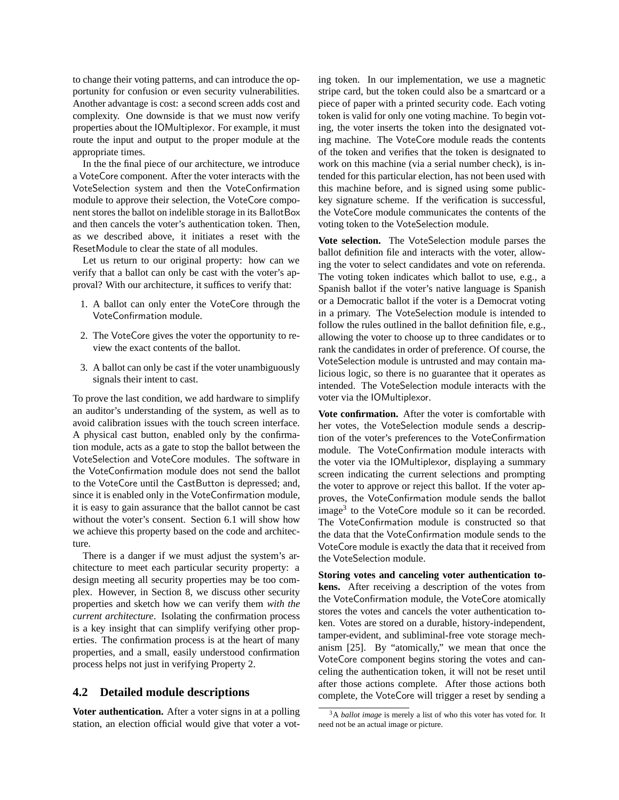to change their voting patterns, and can introduce the opportunity for confusion or even security vulnerabilities. Another advantage is cost: a second screen adds cost and complexity. One downside is that we must now verify properties about the IOMultiplexor. For example, it must route the input and output to the proper module at the appropriate times.

In the the final piece of our architecture, we introduce a VoteCore component. After the voter interacts with the VoteSelection system and then the VoteConfirmation module to approve their selection, the VoteCore component stores the ballot on indelible storage in its BallotBox and then cancels the voter's authentication token. Then, as we described above, it initiates a reset with the ResetModule to clear the state of all modules.

Let us return to our original property: how can we verify that a ballot can only be cast with the voter's approval? With our architecture, it suffices to verify that:

- 1. A ballot can only enter the VoteCore through the VoteConfirmation module.
- 2. The VoteCore gives the voter the opportunity to review the exact contents of the ballot.
- 3. A ballot can only be cast if the voter unambiguously signals their intent to cast.

To prove the last condition, we add hardware to simplify an auditor's understanding of the system, as well as to avoid calibration issues with the touch screen interface. A physical cast button, enabled only by the confirmation module, acts as a gate to stop the ballot between the VoteSelection and VoteCore modules. The software in the VoteConfirmation module does not send the ballot to the VoteCore until the CastButton is depressed; and, since it is enabled only in the VoteConfirmation module, it is easy to gain assurance that the ballot cannot be cast without the voter's consent. Section 6.1 will show how we achieve this property based on the code and architecture.

There is a danger if we must adjust the system's architecture to meet each particular security property: a design meeting all security properties may be too complex. However, in Section 8, we discuss other security properties and sketch how we can verify them *with the current architecture*. Isolating the confirmation process is a key insight that can simplify verifying other properties. The confirmation process is at the heart of many properties, and a small, easily understood confirmation process helps not just in verifying Property 2.

### **4.2 Detailed module descriptions**

**Voter authentication.** After a voter signs in at a polling station, an election official would give that voter a voting token. In our implementation, we use a magnetic stripe card, but the token could also be a smartcard or a piece of paper with a printed security code. Each voting token is valid for only one voting machine. To begin voting, the voter inserts the token into the designated voting machine. The VoteCore module reads the contents of the token and verifies that the token is designated to work on this machine (via a serial number check), is intended for this particular election, has not been used with this machine before, and is signed using some publickey signature scheme. If the verification is successful, the VoteCore module communicates the contents of the voting token to the VoteSelection module.

**Vote selection.** The VoteSelection module parses the ballot definition file and interacts with the voter, allowing the voter to select candidates and vote on referenda. The voting token indicates which ballot to use, e.g., a Spanish ballot if the voter's native language is Spanish or a Democratic ballot if the voter is a Democrat voting in a primary. The VoteSelection module is intended to follow the rules outlined in the ballot definition file, e.g., allowing the voter to choose up to three candidates or to rank the candidates in order of preference. Of course, the VoteSelection module is untrusted and may contain malicious logic, so there is no guarantee that it operates as intended. The VoteSelection module interacts with the voter via the IOMultiplexor.

**Vote confirmation.** After the voter is comfortable with her votes, the VoteSelection module sends a description of the voter's preferences to the VoteConfirmation module. The VoteConfirmation module interacts with the voter via the IOMultiplexor, displaying a summary screen indicating the current selections and prompting the voter to approve or reject this ballot. If the voter approves, the VoteConfirmation module sends the ballot image<sup>3</sup> to the VoteCore module so it can be recorded. The VoteConfirmation module is constructed so that the data that the VoteConfirmation module sends to the VoteCore module is exactly the data that it received from the VoteSelection module.

**Storing votes and canceling voter authentication tokens.** After receiving a description of the votes from the VoteConfirmation module, the VoteCore atomically stores the votes and cancels the voter authentication token. Votes are stored on a durable, history-independent, tamper-evident, and subliminal-free vote storage mechanism [25]. By "atomically," we mean that once the VoteCore component begins storing the votes and canceling the authentication token, it will not be reset until after those actions complete. After those actions both complete, the VoteCore will trigger a reset by sending a

<sup>3</sup>A *ballot image* is merely a list of who this voter has voted for. It need not be an actual image or picture.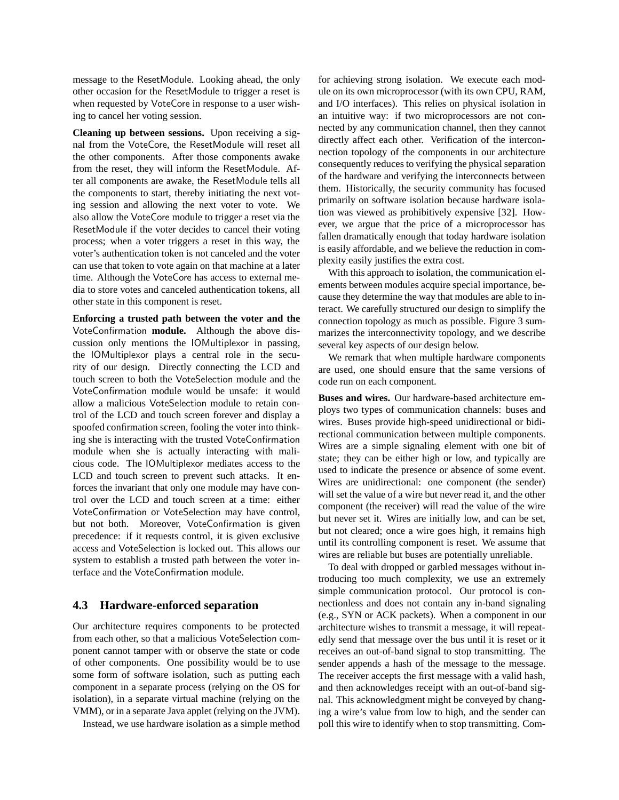message to the ResetModule. Looking ahead, the only other occasion for the ResetModule to trigger a reset is when requested by VoteCore in response to a user wishing to cancel her voting session.

**Cleaning up between sessions.** Upon receiving a signal from the VoteCore, the ResetModule will reset all the other components. After those components awake from the reset, they will inform the ResetModule. After all components are awake, the ResetModule tells all the components to start, thereby initiating the next voting session and allowing the next voter to vote. We also allow the VoteCore module to trigger a reset via the ResetModule if the voter decides to cancel their voting process; when a voter triggers a reset in this way, the voter's authentication token is not canceled and the voter can use that token to vote again on that machine at a later time. Although the VoteCore has access to external media to store votes and canceled authentication tokens, all other state in this component is reset.

**Enforcing a trusted path between the voter and the** VoteConfirmation **module.** Although the above discussion only mentions the IOMultiplexor in passing, the IOMultiplexor plays a central role in the security of our design. Directly connecting the LCD and touch screen to both the VoteSelection module and the VoteConfirmation module would be unsafe: it would allow a malicious VoteSelection module to retain control of the LCD and touch screen forever and display a spoofed confirmation screen, fooling the voter into thinking she is interacting with the trusted VoteConfirmation module when she is actually interacting with malicious code. The IOMultiplexor mediates access to the LCD and touch screen to prevent such attacks. It enforces the invariant that only one module may have control over the LCD and touch screen at a time: either VoteConfirmation or VoteSelection may have control, but not both. Moreover, VoteConfirmation is given precedence: if it requests control, it is given exclusive access and VoteSelection is locked out. This allows our system to establish a trusted path between the voter interface and the VoteConfirmation module.

### **4.3 Hardware-enforced separation**

Our architecture requires components to be protected from each other, so that a malicious VoteSelection component cannot tamper with or observe the state or code of other components. One possibility would be to use some form of software isolation, such as putting each component in a separate process (relying on the OS for isolation), in a separate virtual machine (relying on the VMM), or in a separate Java applet (relying on the JVM).

Instead, we use hardware isolation as a simple method

for achieving strong isolation. We execute each module on its own microprocessor (with its own CPU, RAM, and I/O interfaces). This relies on physical isolation in an intuitive way: if two microprocessors are not connected by any communication channel, then they cannot directly affect each other. Verification of the interconnection topology of the components in our architecture consequently reduces to verifying the physical separation of the hardware and verifying the interconnects between them. Historically, the security community has focused primarily on software isolation because hardware isolation was viewed as prohibitively expensive [32]. However, we argue that the price of a microprocessor has fallen dramatically enough that today hardware isolation is easily affordable, and we believe the reduction in complexity easily justifies the extra cost.

With this approach to isolation, the communication elements between modules acquire special importance, because they determine the way that modules are able to interact. We carefully structured our design to simplify the connection topology as much as possible. Figure 3 summarizes the interconnectivity topology, and we describe several key aspects of our design below.

We remark that when multiple hardware components are used, one should ensure that the same versions of code run on each component.

**Buses and wires.** Our hardware-based architecture employs two types of communication channels: buses and wires. Buses provide high-speed unidirectional or bidirectional communication between multiple components. Wires are a simple signaling element with one bit of state; they can be either high or low, and typically are used to indicate the presence or absence of some event. Wires are unidirectional: one component (the sender) will set the value of a wire but never read it, and the other component (the receiver) will read the value of the wire but never set it. Wires are initially low, and can be set, but not cleared; once a wire goes high, it remains high until its controlling component is reset. We assume that wires are reliable but buses are potentially unreliable.

To deal with dropped or garbled messages without introducing too much complexity, we use an extremely simple communication protocol. Our protocol is connectionless and does not contain any in-band signaling (e.g., SYN or ACK packets). When a component in our architecture wishes to transmit a message, it will repeatedly send that message over the bus until it is reset or it receives an out-of-band signal to stop transmitting. The sender appends a hash of the message to the message. The receiver accepts the first message with a valid hash, and then acknowledges receipt with an out-of-band signal. This acknowledgment might be conveyed by changing a wire's value from low to high, and the sender can poll this wire to identify when to stop transmitting. Com-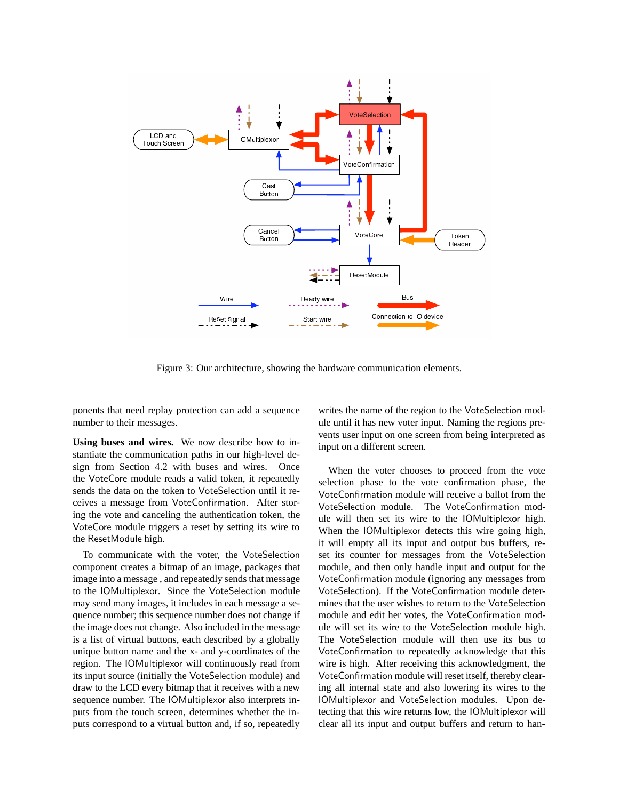

Figure 3: Our architecture, showing the hardware communication elements.

ponents that need replay protection can add a sequence number to their messages.

**Using buses and wires.** We now describe how to instantiate the communication paths in our high-level design from Section 4.2 with buses and wires. Once the VoteCore module reads a valid token, it repeatedly sends the data on the token to VoteSelection until it receives a message from VoteConfirmation. After storing the vote and canceling the authentication token, the VoteCore module triggers a reset by setting its wire to the ResetModule high.

To communicate with the voter, the VoteSelection component creates a bitmap of an image, packages that image into a message , and repeatedly sends that message to the IOMultiplexor. Since the VoteSelection module may send many images, it includes in each message a sequence number; this sequence number does not change if the image does not change. Also included in the message is a list of virtual buttons, each described by a globally unique button name and the x- and y-coordinates of the region. The IOMultiplexor will continuously read from its input source (initially the VoteSelection module) and draw to the LCD every bitmap that it receives with a new sequence number. The IOMultiplexor also interprets inputs from the touch screen, determines whether the inputs correspond to a virtual button and, if so, repeatedly writes the name of the region to the VoteSelection module until it has new voter input. Naming the regions prevents user input on one screen from being interpreted as input on a different screen.

When the voter chooses to proceed from the vote selection phase to the vote confirmation phase, the VoteConfirmation module will receive a ballot from the VoteSelection module. The VoteConfirmation module will then set its wire to the IOMultiplexor high. When the IOMultiplexor detects this wire going high, it will empty all its input and output bus buffers, reset its counter for messages from the VoteSelection module, and then only handle input and output for the VoteConfirmation module (ignoring any messages from VoteSelection). If the VoteConfirmation module determines that the user wishes to return to the VoteSelection module and edit her votes, the VoteConfirmation module will set its wire to the VoteSelection module high. The VoteSelection module will then use its bus to VoteConfirmation to repeatedly acknowledge that this wire is high. After receiving this acknowledgment, the VoteConfirmation module will reset itself, thereby clearing all internal state and also lowering its wires to the IOMultiplexor and VoteSelection modules. Upon detecting that this wire returns low, the IOMultiplexor will clear all its input and output buffers and return to han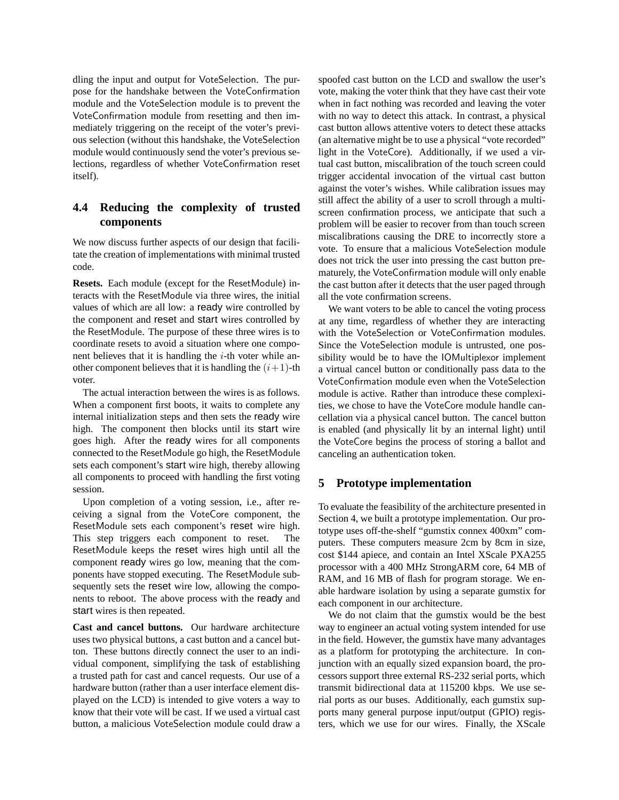dling the input and output for VoteSelection. The purpose for the handshake between the VoteConfirmation module and the VoteSelection module is to prevent the VoteConfirmation module from resetting and then immediately triggering on the receipt of the voter's previous selection (without this handshake, the VoteSelection module would continuously send the voter's previous selections, regardless of whether VoteConfirmation reset itself).

## **4.4 Reducing the complexity of trusted components**

We now discuss further aspects of our design that facilitate the creation of implementations with minimal trusted code.

**Resets.** Each module (except for the ResetModule) interacts with the ResetModule via three wires, the initial values of which are all low: a ready wire controlled by the component and reset and start wires controlled by the ResetModule. The purpose of these three wires is to coordinate resets to avoid a situation where one component believes that it is handling the  $i$ -th voter while another component believes that it is handling the  $(i+1)$ -th voter.

The actual interaction between the wires is as follows. When a component first boots, it waits to complete any internal initialization steps and then sets the ready wire high. The component then blocks until its start wire goes high. After the ready wires for all components connected to the ResetModule go high, the ResetModule sets each component's start wire high, thereby allowing all components to proceed with handling the first voting session.

Upon completion of a voting session, i.e., after receiving a signal from the VoteCore component, the ResetModule sets each component's reset wire high. This step triggers each component to reset. The ResetModule keeps the reset wires high until all the component ready wires go low, meaning that the components have stopped executing. The ResetModule subsequently sets the reset wire low, allowing the components to reboot. The above process with the ready and start wires is then repeated.

**Cast and cancel buttons.** Our hardware architecture uses two physical buttons, a cast button and a cancel button. These buttons directly connect the user to an individual component, simplifying the task of establishing a trusted path for cast and cancel requests. Our use of a hardware button (rather than a user interface element displayed on the LCD) is intended to give voters a way to know that their vote will be cast. If we used a virtual cast button, a malicious VoteSelection module could draw a spoofed cast button on the LCD and swallow the user's vote, making the voter think that they have cast their vote when in fact nothing was recorded and leaving the voter with no way to detect this attack. In contrast, a physical cast button allows attentive voters to detect these attacks (an alternative might be to use a physical "vote recorded" light in the VoteCore). Additionally, if we used a virtual cast button, miscalibration of the touch screen could trigger accidental invocation of the virtual cast button against the voter's wishes. While calibration issues may still affect the ability of a user to scroll through a multiscreen confirmation process, we anticipate that such a problem will be easier to recover from than touch screen miscalibrations causing the DRE to incorrectly store a vote. To ensure that a malicious VoteSelection module does not trick the user into pressing the cast button prematurely, the VoteConfirmation module will only enable the cast button after it detects that the user paged through all the vote confirmation screens.

We want voters to be able to cancel the voting process at any time, regardless of whether they are interacting with the VoteSelection or VoteConfirmation modules. Since the VoteSelection module is untrusted, one possibility would be to have the IOMultiplexor implement a virtual cancel button or conditionally pass data to the VoteConfirmation module even when the VoteSelection module is active. Rather than introduce these complexities, we chose to have the VoteCore module handle cancellation via a physical cancel button. The cancel button is enabled (and physically lit by an internal light) until the VoteCore begins the process of storing a ballot and canceling an authentication token.

### **5 Prototype implementation**

To evaluate the feasibility of the architecture presented in Section 4, we built a prototype implementation. Our prototype uses off-the-shelf "gumstix connex 400xm" computers. These computers measure 2cm by 8cm in size, cost \$144 apiece, and contain an Intel XScale PXA255 processor with a 400 MHz StrongARM core, 64 MB of RAM, and 16 MB of flash for program storage. We enable hardware isolation by using a separate gumstix for each component in our architecture.

We do not claim that the gumstix would be the best way to engineer an actual voting system intended for use in the field. However, the gumstix have many advantages as a platform for prototyping the architecture. In conjunction with an equally sized expansion board, the processors support three external RS-232 serial ports, which transmit bidirectional data at 115200 kbps. We use serial ports as our buses. Additionally, each gumstix supports many general purpose input/output (GPIO) registers, which we use for our wires. Finally, the XScale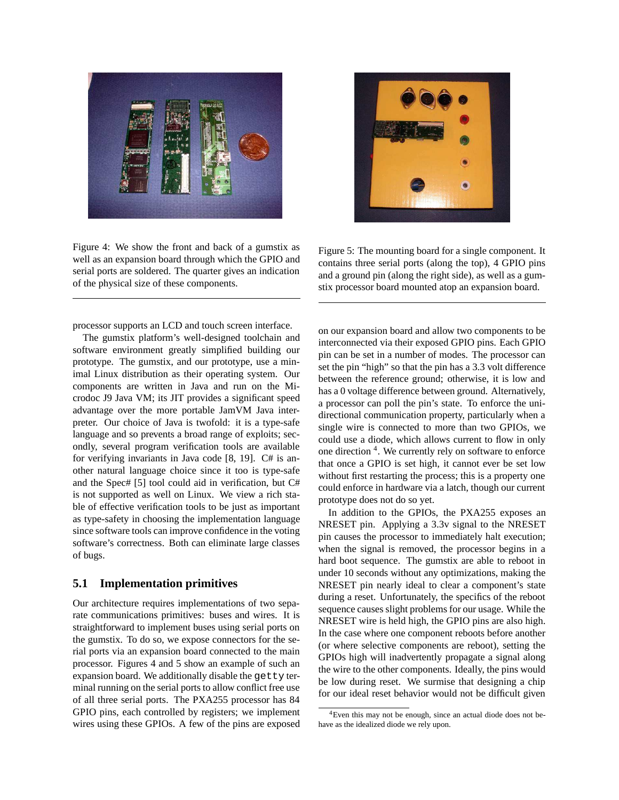

Figure 4: We show the front and back of a gumstix as well as an expansion board through which the GPIO and serial ports are soldered. The quarter gives an indication of the physical size of these components.

processor supports an LCD and touch screen interface.

The gumstix platform's well-designed toolchain and software environment greatly simplified building our prototype. The gumstix, and our prototype, use a minimal Linux distribution as their operating system. Our components are written in Java and run on the Microdoc J9 Java VM; its JIT provides a significant speed advantage over the more portable JamVM Java interpreter. Our choice of Java is twofold: it is a type-safe language and so prevents a broad range of exploits; secondly, several program verification tools are available for verifying invariants in Java code [8, 19]. C# is another natural language choice since it too is type-safe and the Spec# [5] tool could aid in verification, but C# is not supported as well on Linux. We view a rich stable of effective verification tools to be just as important as type-safety in choosing the implementation language since software tools can improve confidence in the voting software's correctness. Both can eliminate large classes of bugs.

### **5.1 Implementation primitives**

Our architecture requires implementations of two separate communications primitives: buses and wires. It is straightforward to implement buses using serial ports on the gumstix. To do so, we expose connectors for the serial ports via an expansion board connected to the main processor. Figures 4 and 5 show an example of such an expansion board. We additionally disable the getty terminal running on the serial ports to allow conflict free use of all three serial ports. The PXA255 processor has 84 GPIO pins, each controlled by registers; we implement wires using these GPIOs. A few of the pins are exposed



Figure 5: The mounting board for a single component. It contains three serial ports (along the top), 4 GPIO pins and a ground pin (along the right side), as well as a gumstix processor board mounted atop an expansion board.

on our expansion board and allow two components to be interconnected via their exposed GPIO pins. Each GPIO pin can be set in a number of modes. The processor can set the pin "high" so that the pin has a 3.3 volt difference between the reference ground; otherwise, it is low and has a 0 voltage difference between ground. Alternatively, a processor can poll the pin's state. To enforce the unidirectional communication property, particularly when a single wire is connected to more than two GPIOs, we could use a diode, which allows current to flow in only one direction <sup>4</sup>. We currently rely on software to enforce that once a GPIO is set high, it cannot ever be set low without first restarting the process; this is a property one could enforce in hardware via a latch, though our current prototype does not do so yet.

In addition to the GPIOs, the PXA255 exposes an NRESET pin. Applying a 3.3v signal to the NRESET pin causes the processor to immediately halt execution; when the signal is removed, the processor begins in a hard boot sequence. The gumstix are able to reboot in under 10 seconds without any optimizations, making the NRESET pin nearly ideal to clear a component's state during a reset. Unfortunately, the specifics of the reboot sequence causes slight problems for our usage. While the NRESET wire is held high, the GPIO pins are also high. In the case where one component reboots before another (or where selective components are reboot), setting the GPIOs high will inadvertently propagate a signal along the wire to the other components. Ideally, the pins would be low during reset. We surmise that designing a chip for our ideal reset behavior would not be difficult given

<sup>4</sup>Even this may not be enough, since an actual diode does not behave as the idealized diode we rely upon.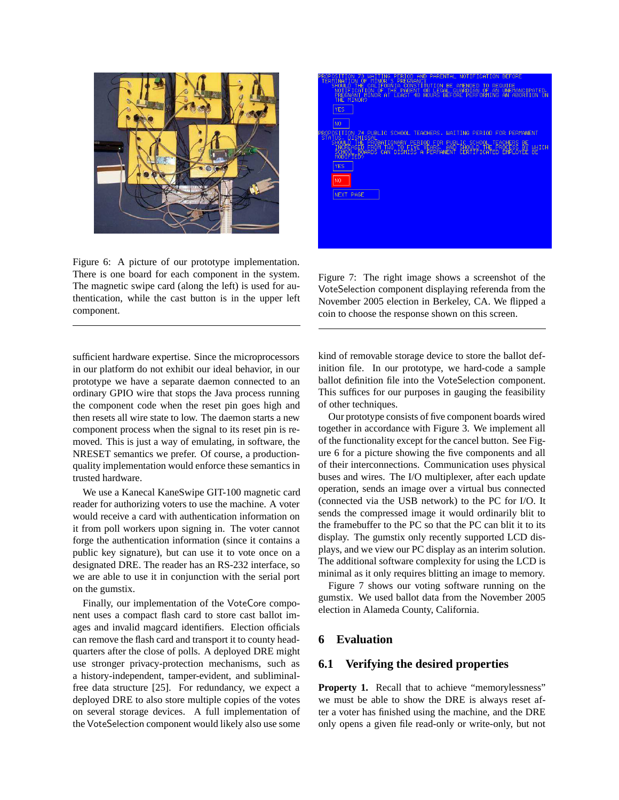

Figure 6: A picture of our prototype implementation. There is one board for each component in the system. The magnetic swipe card (along the left) is used for authentication, while the cast button is in the upper left component.

sufficient hardware expertise. Since the microprocessors in our platform do not exhibit our ideal behavior, in our prototype we have a separate daemon connected to an ordinary GPIO wire that stops the Java process running the component code when the reset pin goes high and then resets all wire state to low. The daemon starts a new component process when the signal to its reset pin is removed. This is just a way of emulating, in software, the NRESET semantics we prefer. Of course, a productionquality implementation would enforce these semantics in trusted hardware.

We use a Kanecal KaneSwipe GIT-100 magnetic card reader for authorizing voters to use the machine. A voter would receive a card with authentication information on it from poll workers upon signing in. The voter cannot forge the authentication information (since it contains a public key signature), but can use it to vote once on a designated DRE. The reader has an RS-232 interface, so we are able to use it in conjunction with the serial port on the gumstix.

Finally, our implementation of the VoteCore component uses a compact flash card to store cast ballot images and invalid magcard identifiers. Election officials can remove the flash card and transport it to county headquarters after the close of polls. A deployed DRE might use stronger privacy-protection mechanisms, such as a history-independent, tamper-evident, and subliminalfree data structure [25]. For redundancy, we expect a deployed DRE to also store multiple copies of the votes on several storage devices. A full implementation of the VoteSelection component would likely also use some



Figure 7: The right image shows a screenshot of the VoteSelection component displaying referenda from the November 2005 election in Berkeley, CA. We flipped a coin to choose the response shown on this screen.

kind of removable storage device to store the ballot definition file. In our prototype, we hard-code a sample ballot definition file into the VoteSelection component. This suffices for our purposes in gauging the feasibility of other techniques.

Our prototype consists of five component boards wired together in accordance with Figure 3. We implement all of the functionality except for the cancel button. See Figure 6 for a picture showing the five components and all of their interconnections. Communication uses physical buses and wires. The I/O multiplexer, after each update operation, sends an image over a virtual bus connected (connected via the USB network) to the PC for I/O. It sends the compressed image it would ordinarily blit to the framebuffer to the PC so that the PC can blit it to its display. The gumstix only recently supported LCD displays, and we view our PC display as an interim solution. The additional software complexity for using the LCD is minimal as it only requires blitting an image to memory.

Figure 7 shows our voting software running on the gumstix. We used ballot data from the November 2005 election in Alameda County, California.

### **6 Evaluation**

### **6.1 Verifying the desired properties**

**Property 1.** Recall that to achieve "memorylessness" we must be able to show the DRE is always reset after a voter has finished using the machine, and the DRE only opens a given file read-only or write-only, but not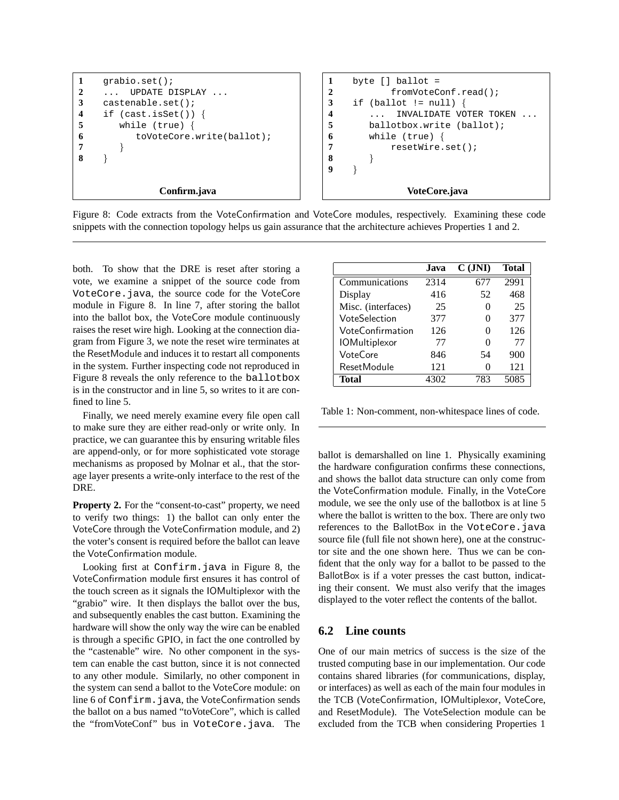

Figure 8: Code extracts from the VoteConfirmation and VoteCore modules, respectively. Examining these code snippets with the connection topology helps us gain assurance that the architecture achieves Properties 1 and 2.

both. To show that the DRE is reset after storing a vote, we examine a snippet of the source code from VoteCore.java, the source code for the VoteCore module in Figure 8. In line 7, after storing the ballot into the ballot box, the VoteCore module continuously raises the reset wire high. Looking at the connection diagram from Figure 3, we note the reset wire terminates at the ResetModule and induces it to restart all components in the system. Further inspecting code not reproduced in Figure 8 reveals the only reference to the ballotbox is in the constructor and in line 5, so writes to it are confined to line 5.

Finally, we need merely examine every file open call to make sure they are either read-only or write only. In practice, we can guarantee this by ensuring writable files are append-only, or for more sophisticated vote storage mechanisms as proposed by Molnar et al., that the storage layer presents a write-only interface to the rest of the DRE.

**Property 2.** For the "consent-to-cast" property, we need to verify two things: 1) the ballot can only enter the VoteCore through the VoteConfirmation module, and 2) the voter's consent is required before the ballot can leave the VoteConfirmation module.

Looking first at Confirm.java in Figure 8, the VoteConfirmation module first ensures it has control of the touch screen as it signals the IOMultiplexor with the "grabio" wire. It then displays the ballot over the bus, and subsequently enables the cast button. Examining the hardware will show the only way the wire can be enabled is through a specific GPIO, in fact the one controlled by the "castenable" wire. No other component in the system can enable the cast button, since it is not connected to any other module. Similarly, no other component in the system can send a ballot to the VoteCore module: on line 6 of Confirm.java, the VoteConfirmation sends the ballot on a bus named "toVoteCore", which is called the "fromVoteConf" bus in VoteCore.java. The

|                      | Java | $C$ (JNI) | Total |
|----------------------|------|-----------|-------|
| Communications       | 2314 | 677       | 2991  |
| Display              | 416  | 52        | 468   |
| Misc. (interfaces)   | 25   |           | 25    |
| VoteSelection        | 377  |           | 377   |
| VoteConfirmation     | 126  | $\Omega$  | 126   |
| <b>IOMultiplexor</b> | 77   |           | 77    |
| VoteCore             | 846  | 54        | 900   |
| <b>ResetModule</b>   | 121  |           | 121   |
| Total                |      |           | 5084  |

Table 1: Non-comment, non-whitespace lines of code.

ballot is demarshalled on line 1. Physically examining the hardware configuration confirms these connections, and shows the ballot data structure can only come from the VoteConfirmation module. Finally, in the VoteCore module, we see the only use of the ballotbox is at line 5 where the ballot is written to the box. There are only two references to the BallotBox in the VoteCore.java source file (full file not shown here), one at the constructor site and the one shown here. Thus we can be confident that the only way for a ballot to be passed to the BallotBox is if a voter presses the cast button, indicating their consent. We must also verify that the images displayed to the voter reflect the contents of the ballot.

### **6.2 Line counts**

One of our main metrics of success is the size of the trusted computing base in our implementation. Our code contains shared libraries (for communications, display, or interfaces) as well as each of the main four modules in the TCB (VoteConfirmation, IOMultiplexor, VoteCore, and ResetModule). The VoteSelection module can be excluded from the TCB when considering Properties 1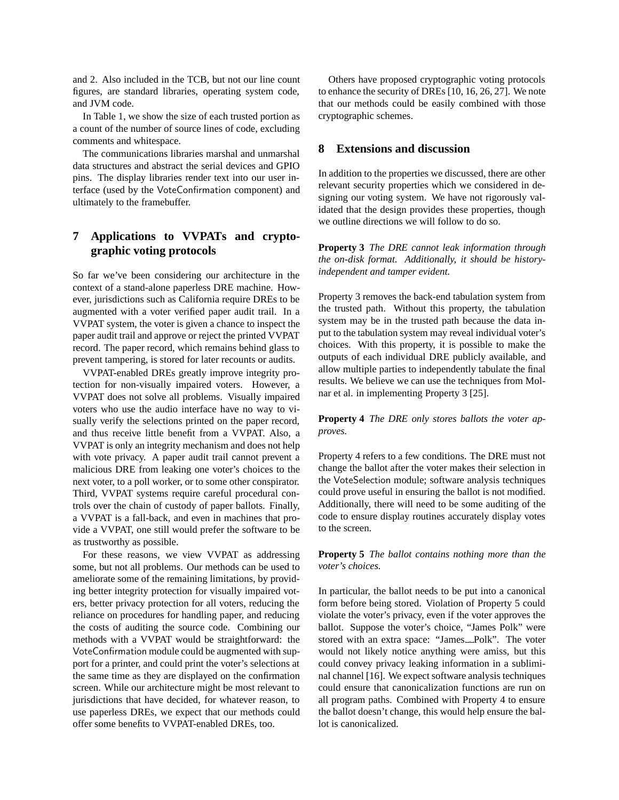and 2. Also included in the TCB, but not our line count figures, are standard libraries, operating system code, and JVM code.

In Table 1, we show the size of each trusted portion as a count of the number of source lines of code, excluding comments and whitespace.

The communications libraries marshal and unmarshal data structures and abstract the serial devices and GPIO pins. The display libraries render text into our user interface (used by the VoteConfirmation component) and ultimately to the framebuffer.

## **7 Applications to VVPATs and cryptographic voting protocols**

So far we've been considering our architecture in the context of a stand-alone paperless DRE machine. However, jurisdictions such as California require DREs to be augmented with a voter verified paper audit trail. In a VVPAT system, the voter is given a chance to inspect the paper audit trail and approve or reject the printed VVPAT record. The paper record, which remains behind glass to prevent tampering, is stored for later recounts or audits.

VVPAT-enabled DREs greatly improve integrity protection for non-visually impaired voters. However, a VVPAT does not solve all problems. Visually impaired voters who use the audio interface have no way to visually verify the selections printed on the paper record, and thus receive little benefit from a VVPAT. Also, a VVPAT is only an integrity mechanism and does not help with vote privacy. A paper audit trail cannot prevent a malicious DRE from leaking one voter's choices to the next voter, to a poll worker, or to some other conspirator. Third, VVPAT systems require careful procedural controls over the chain of custody of paper ballots. Finally, a VVPAT is a fall-back, and even in machines that provide a VVPAT, one still would prefer the software to be as trustworthy as possible.

For these reasons, we view VVPAT as addressing some, but not all problems. Our methods can be used to ameliorate some of the remaining limitations, by providing better integrity protection for visually impaired voters, better privacy protection for all voters, reducing the reliance on procedures for handling paper, and reducing the costs of auditing the source code. Combining our methods with a VVPAT would be straightforward: the VoteConfirmation module could be augmented with support for a printer, and could print the voter's selections at the same time as they are displayed on the confirmation screen. While our architecture might be most relevant to jurisdictions that have decided, for whatever reason, to use paperless DREs, we expect that our methods could offer some benefits to VVPAT-enabled DREs, too.

Others have proposed cryptographic voting protocols to enhance the security of DREs [10, 16, 26, 27]. We note that our methods could be easily combined with those cryptographic schemes.

#### **8 Extensions and discussion**

In addition to the properties we discussed, there are other relevant security properties which we considered in designing our voting system. We have not rigorously validated that the design provides these properties, though we outline directions we will follow to do so.

**Property 3** *The DRE cannot leak information through the on-disk format. Additionally, it should be historyindependent and tamper evident.*

Property 3 removes the back-end tabulation system from the trusted path. Without this property, the tabulation system may be in the trusted path because the data input to the tabulation system may reveal individual voter's choices. With this property, it is possible to make the outputs of each individual DRE publicly available, and allow multiple parties to independently tabulate the final results. We believe we can use the techniques from Molnar et al. in implementing Property 3 [25].

**Property 4** *The DRE only stores ballots the voter approves.*

Property 4 refers to a few conditions. The DRE must not change the ballot after the voter makes their selection in the VoteSelection module; software analysis techniques could prove useful in ensuring the ballot is not modified. Additionally, there will need to be some auditing of the code to ensure display routines accurately display votes to the screen.

**Property 5** *The ballot contains nothing more than the voter's choices.*

In particular, the ballot needs to be put into a canonical form before being stored. Violation of Property 5 could violate the voter's privacy, even if the voter approves the ballot. Suppose the voter's choice, "James Polk" were stored with an extra space: "James....Polk". The voter would not likely notice anything were amiss, but this could convey privacy leaking information in a subliminal channel [16]. We expect software analysis techniques could ensure that canonicalization functions are run on all program paths. Combined with Property 4 to ensure the ballot doesn't change, this would help ensure the ballot is canonicalized.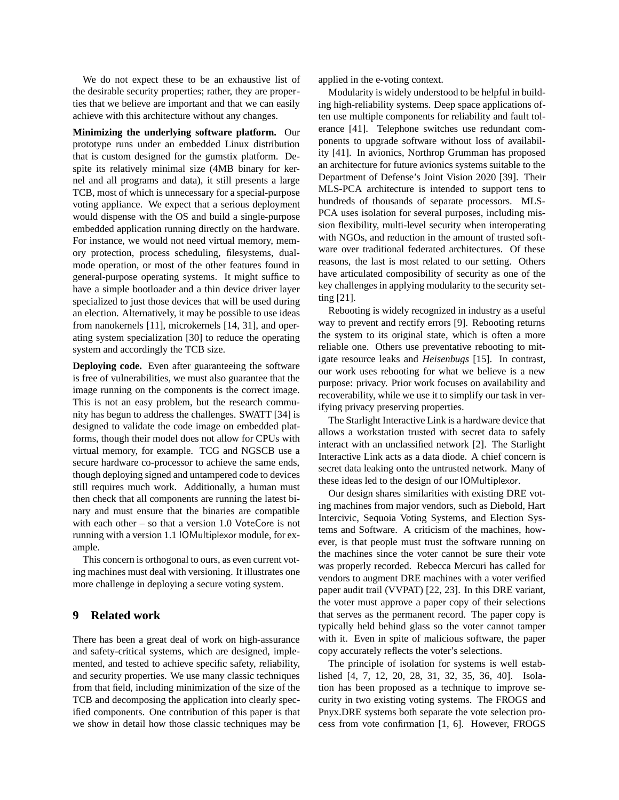We do not expect these to be an exhaustive list of the desirable security properties; rather, they are properties that we believe are important and that we can easily achieve with this architecture without any changes.

**Minimizing the underlying software platform.** Our prototype runs under an embedded Linux distribution that is custom designed for the gumstix platform. Despite its relatively minimal size (4MB binary for kernel and all programs and data), it still presents a large TCB, most of which is unnecessary for a special-purpose voting appliance. We expect that a serious deployment would dispense with the OS and build a single-purpose embedded application running directly on the hardware. For instance, we would not need virtual memory, memory protection, process scheduling, filesystems, dualmode operation, or most of the other features found in general-purpose operating systems. It might suffice to have a simple bootloader and a thin device driver layer specialized to just those devices that will be used during an election. Alternatively, it may be possible to use ideas from nanokernels [11], microkernels [14, 31], and operating system specialization [30] to reduce the operating system and accordingly the TCB size.

**Deploying code.** Even after guaranteeing the software is free of vulnerabilities, we must also guarantee that the image running on the components is the correct image. This is not an easy problem, but the research community has begun to address the challenges. SWATT [34] is designed to validate the code image on embedded platforms, though their model does not allow for CPUs with virtual memory, for example. TCG and NGSCB use a secure hardware co-processor to achieve the same ends, though deploying signed and untampered code to devices still requires much work. Additionally, a human must then check that all components are running the latest binary and must ensure that the binaries are compatible with each other – so that a version 1.0 VoteCore is not running with a version 1.1 IOMultiplexor module, for example.

This concern is orthogonal to ours, as even current voting machines must deal with versioning. It illustrates one more challenge in deploying a secure voting system.

### **9 Related work**

There has been a great deal of work on high-assurance and safety-critical systems, which are designed, implemented, and tested to achieve specific safety, reliability, and security properties. We use many classic techniques from that field, including minimization of the size of the TCB and decomposing the application into clearly specified components. One contribution of this paper is that we show in detail how those classic techniques may be applied in the e-voting context.

Modularity is widely understood to be helpful in building high-reliability systems. Deep space applications often use multiple components for reliability and fault tolerance [41]. Telephone switches use redundant components to upgrade software without loss of availability [41]. In avionics, Northrop Grumman has proposed an architecture for future avionics systems suitable to the Department of Defense's Joint Vision 2020 [39]. Their MLS-PCA architecture is intended to support tens to hundreds of thousands of separate processors. MLS-PCA uses isolation for several purposes, including mission flexibility, multi-level security when interoperating with NGOs, and reduction in the amount of trusted software over traditional federated architectures. Of these reasons, the last is most related to our setting. Others have articulated composibility of security as one of the key challenges in applying modularity to the security setting [21].

Rebooting is widely recognized in industry as a useful way to prevent and rectify errors [9]. Rebooting returns the system to its original state, which is often a more reliable one. Others use preventative rebooting to mitigate resource leaks and *Heisenbugs* [15]. In contrast, our work uses rebooting for what we believe is a new purpose: privacy. Prior work focuses on availability and recoverability, while we use it to simplify our task in verifying privacy preserving properties.

The Starlight Interactive Link is a hardware device that allows a workstation trusted with secret data to safely interact with an unclassified network [2]. The Starlight Interactive Link acts as a data diode. A chief concern is secret data leaking onto the untrusted network. Many of these ideas led to the design of our IOMultiplexor.

Our design shares similarities with existing DRE voting machines from major vendors, such as Diebold, Hart Intercivic, Sequoia Voting Systems, and Election Systems and Software. A criticism of the machines, however, is that people must trust the software running on the machines since the voter cannot be sure their vote was properly recorded. Rebecca Mercuri has called for vendors to augment DRE machines with a voter verified paper audit trail (VVPAT) [22, 23]. In this DRE variant, the voter must approve a paper copy of their selections that serves as the permanent record. The paper copy is typically held behind glass so the voter cannot tamper with it. Even in spite of malicious software, the paper copy accurately reflects the voter's selections.

The principle of isolation for systems is well established [4, 7, 12, 20, 28, 31, 32, 35, 36, 40]. Isolation has been proposed as a technique to improve security in two existing voting systems. The FROGS and Pnyx.DRE systems both separate the vote selection process from vote confirmation [1, 6]. However, FROGS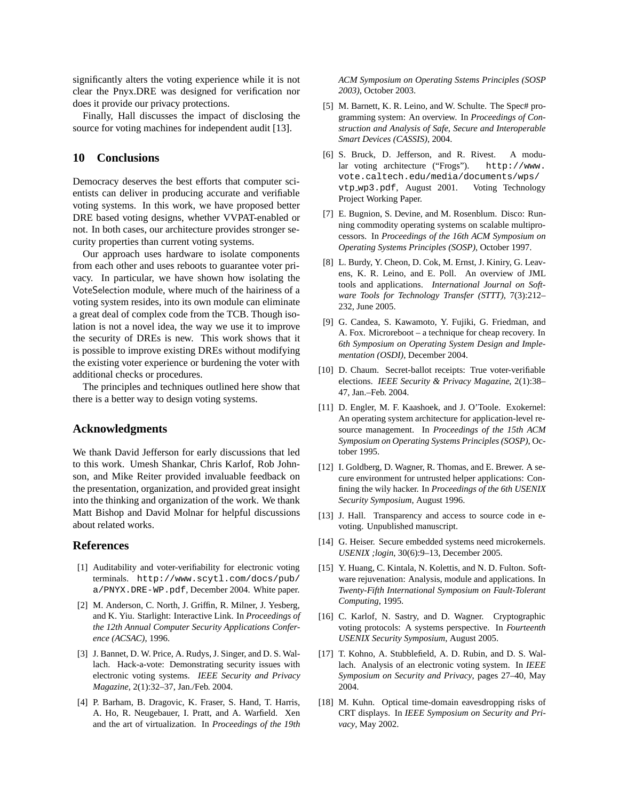significantly alters the voting experience while it is not clear the Pnyx.DRE was designed for verification nor does it provide our privacy protections.

Finally, Hall discusses the impact of disclosing the source for voting machines for independent audit [13].

### **10 Conclusions**

Democracy deserves the best efforts that computer scientists can deliver in producing accurate and verifiable voting systems. In this work, we have proposed better DRE based voting designs, whether VVPAT-enabled or not. In both cases, our architecture provides stronger security properties than current voting systems.

Our approach uses hardware to isolate components from each other and uses reboots to guarantee voter privacy. In particular, we have shown how isolating the VoteSelection module, where much of the hairiness of a voting system resides, into its own module can eliminate a great deal of complex code from the TCB. Though isolation is not a novel idea, the way we use it to improve the security of DREs is new. This work shows that it is possible to improve existing DREs without modifying the existing voter experience or burdening the voter with additional checks or procedures.

The principles and techniques outlined here show that there is a better way to design voting systems.

### **Acknowledgments**

We thank David Jefferson for early discussions that led to this work. Umesh Shankar, Chris Karlof, Rob Johnson, and Mike Reiter provided invaluable feedback on the presentation, organization, and provided great insight into the thinking and organization of the work. We thank Matt Bishop and David Molnar for helpful discussions about related works.

#### **References**

- [1] Auditability and voter-verifiability for electronic voting terminals. http://www.scytl.com/docs/pub/ a/PNYX.DRE-WP.pdf, December 2004. White paper.
- [2] M. Anderson, C. North, J. Griffin, R. Milner, J. Yesberg, and K. Yiu. Starlight: Interactive Link. In *Proceedings of the 12th Annual Computer Security Applications Conference (ACSAC)*, 1996.
- [3] J. Bannet, D. W. Price, A. Rudys, J. Singer, and D. S. Wallach. Hack-a-vote: Demonstrating security issues with electronic voting systems. *IEEE Security and Privacy Magazine*, 2(1):32–37, Jan./Feb. 2004.
- [4] P. Barham, B. Dragovic, K. Fraser, S. Hand, T. Harris, A. Ho, R. Neugebauer, I. Pratt, and A. Warfield. Xen and the art of virtualization. In *Proceedings of the 19th*

*ACM Symposium on Operating Sstems Principles (SOSP 2003)*, October 2003.

- [5] M. Barnett, K. R. Leino, and W. Schulte. The Spec# programming system: An overview. In *Proceedings of Construction and Analysis of Safe, Secure and Interoperable Smart Devices (CASSIS)*, 2004.
- [6] S. Bruck, D. Jefferson, and R. Rivest. A modular voting architecture ("Frogs"). http://www. vote.caltech.edu/media/documents/wps/ vtp wp3.pdf, August 2001. Voting Technology Project Working Paper.
- [7] E. Bugnion, S. Devine, and M. Rosenblum. Disco: Running commodity operating systems on scalable multiprocessors. In *Proceedings of the 16th ACM Symposium on Operating Systems Principles (SOSP)*, October 1997.
- [8] L. Burdy, Y. Cheon, D. Cok, M. Ernst, J. Kiniry, G. Leavens, K. R. Leino, and E. Poll. An overview of JML tools and applications. *International Journal on Software Tools for Technology Transfer (STTT)*, 7(3):212– 232, June 2005.
- [9] G. Candea, S. Kawamoto, Y. Fujiki, G. Friedman, and A. Fox. Microreboot – a technique for cheap recovery. In *6th Symposium on Operating System Design and Implementation (OSDI)*, December 2004.
- [10] D. Chaum. Secret-ballot receipts: True voter-verifiable elections. *IEEE Security & Privacy Magazine*, 2(1):38– 47, Jan.–Feb. 2004.
- [11] D. Engler, M. F. Kaashoek, and J. O'Toole. Exokernel: An operating system architecture for application-level resource management. In *Proceedings of the 15th ACM Symposium on Operating Systems Principles (SOSP)*, October 1995.
- [12] I. Goldberg, D. Wagner, R. Thomas, and E. Brewer. A secure environment for untrusted helper applications: Confining the wily hacker. In *Proceedings of the 6th USENIX Security Symposium*, August 1996.
- [13] J. Hall. Transparency and access to source code in evoting. Unpublished manuscript.
- [14] G. Heiser. Secure embedded systems need microkernels. *USENIX ;login*, 30(6):9–13, December 2005.
- [15] Y. Huang, C. Kintala, N. Kolettis, and N. D. Fulton. Software rejuvenation: Analysis, module and applications. In *Twenty-Fifth International Symposium on Fault-Tolerant Computing*, 1995.
- [16] C. Karlof, N. Sastry, and D. Wagner. Cryptographic voting protocols: A systems perspective. In *Fourteenth USENIX Security Symposium*, August 2005.
- [17] T. Kohno, A. Stubblefield, A. D. Rubin, and D. S. Wallach. Analysis of an electronic voting system. In *IEEE Symposium on Security and Privacy*, pages 27–40, May 2004.
- [18] M. Kuhn. Optical time-domain eavesdropping risks of CRT displays. In *IEEE Symposium on Security and Privacy*, May 2002.